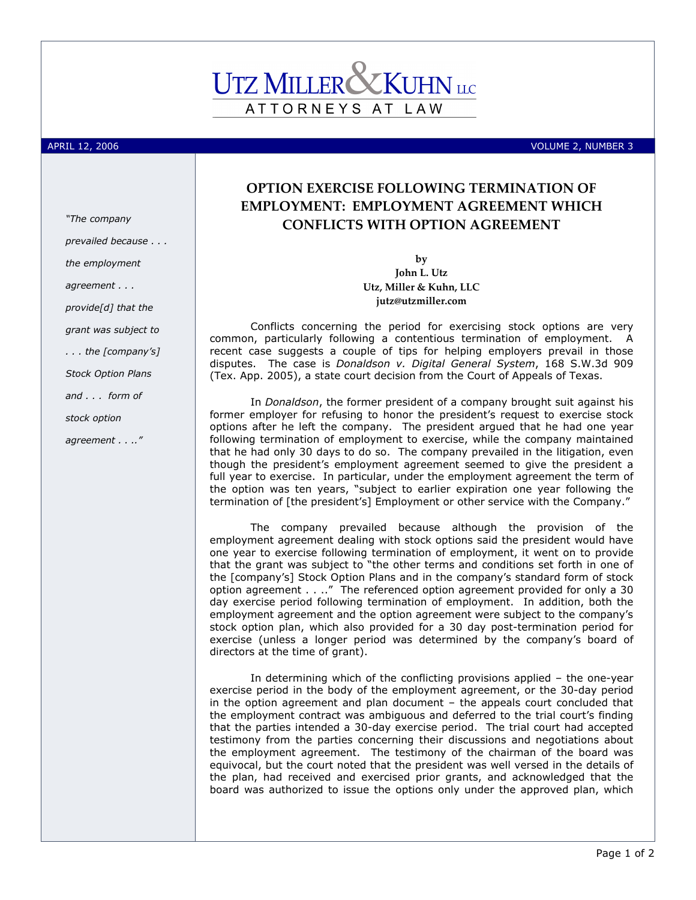## ATTORNEYS AT LAW

APRIL 12, 2006 VOLUME 2, NUMBER 3

## OPTION EXERCISE FOLLOWING TERMINATION OF EMPLOYMENT: EMPLOYMENT AGREEMENT WHICH CONFLICTS WITH OPTION AGREEMENT

by John L. Utz Utz, Miller & Kuhn, LLC jutz@utzmiller.com

Conflicts concerning the period for exercising stock options are very common, particularly following a contentious termination of employment. A recent case suggests a couple of tips for helping employers prevail in those disputes. The case is Donaldson v. Digital General System, 168 S.W.3d 909 (Tex. App. 2005), a state court decision from the Court of Appeals of Texas.

In *Donaldson*, the former president of a company brought suit against his former employer for refusing to honor the president's request to exercise stock options after he left the company. The president argued that he had one year following termination of employment to exercise, while the company maintained that he had only 30 days to do so. The company prevailed in the litigation, even though the president's employment agreement seemed to give the president a full year to exercise. In particular, under the employment agreement the term of the option was ten years, "subject to earlier expiration one year following the termination of [the president's] Employment or other service with the Company."

The company prevailed because although the provision of the employment agreement dealing with stock options said the president would have one year to exercise following termination of employment, it went on to provide that the grant was subject to "the other terms and conditions set forth in one of the [company's] Stock Option Plans and in the company's standard form of stock option agreement . . .." The referenced option agreement provided for only a 30 day exercise period following termination of employment. In addition, both the employment agreement and the option agreement were subject to the company's stock option plan, which also provided for a 30 day post-termination period for exercise (unless a longer period was determined by the company's board of directors at the time of grant).

In determining which of the conflicting provisions applied – the one-year exercise period in the body of the employment agreement, or the 30-day period in the option agreement and plan document – the appeals court concluded that the employment contract was ambiguous and deferred to the trial court's finding that the parties intended a 30-day exercise period. The trial court had accepted testimony from the parties concerning their discussions and negotiations about the employment agreement. The testimony of the chairman of the board was equivocal, but the court noted that the president was well versed in the details of the plan, had received and exercised prior grants, and acknowledged that the board was authorized to issue the options only under the approved plan, which

"The company prevailed because . . . the employment agreement . . . provide[d] that the grant was subject to . . . the [company's] Stock Option Plans and . . . form of stock option

agreement . . .."